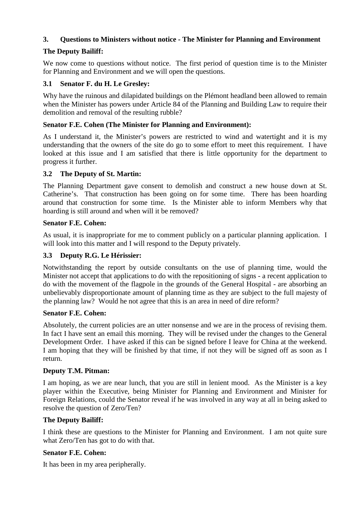## **3. Questions to Ministers without notice - The Minister for Planning and Environment**

## **The Deputy Bailiff:**

We now come to questions without notice. The first period of question time is to the Minister for Planning and Environment and we will open the questions.

### **3.1 Senator F. du H. Le Gresley:**

Why have the ruinous and dilapidated buildings on the Plémont headland been allowed to remain when the Minister has powers under Article 84 of the Planning and Building Law to require their demolition and removal of the resulting rubble?

### **Senator F.E. Cohen (The Minister for Planning and Environment):**

As I understand it, the Minister's powers are restricted to wind and watertight and it is my understanding that the owners of the site do go to some effort to meet this requirement. I have looked at this issue and I am satisfied that there is little opportunity for the department to progress it further.

### **3.2 The Deputy of St. Martin:**

The Planning Department gave consent to demolish and construct a new house down at St. Catherine's. That construction has been going on for some time. There has been hoarding around that construction for some time. Is the Minister able to inform Members why that hoarding is still around and when will it be removed?

### **Senator F.E. Cohen:**

As usual, it is inappropriate for me to comment publicly on a particular planning application. I will look into this matter and I will respond to the Deputy privately.

### **3.3 Deputy R.G. Le Hérissier:**

Notwithstanding the report by outside consultants on the use of planning time, would the Minister not accept that applications to do with the repositioning of signs - a recent application to do with the movement of the flagpole in the grounds of the General Hospital - are absorbing an unbelievably disproportionate amount of planning time as they are subject to the full majesty of the planning law? Would he not agree that this is an area in need of dire reform?

### **Senator F.E. Cohen:**

Absolutely, the current policies are an utter nonsense and we are in the process of revising them. In fact I have sent an email this morning. They will be revised under the changes to the General Development Order. I have asked if this can be signed before I leave for China at the weekend. I am hoping that they will be finished by that time, if not they will be signed off as soon as I return.

### **Deputy T.M. Pitman:**

I am hoping, as we are near lunch, that you are still in lenient mood. As the Minister is a key player within the Executive, being Minister for Planning and Environment and Minister for Foreign Relations, could the Senator reveal if he was involved in any way at all in being asked to resolve the question of Zero/Ten?

### **The Deputy Bailiff:**

I think these are questions to the Minister for Planning and Environment. I am not quite sure what Zero/Ten has got to do with that.

### **Senator F.E. Cohen:**

It has been in my area peripherally.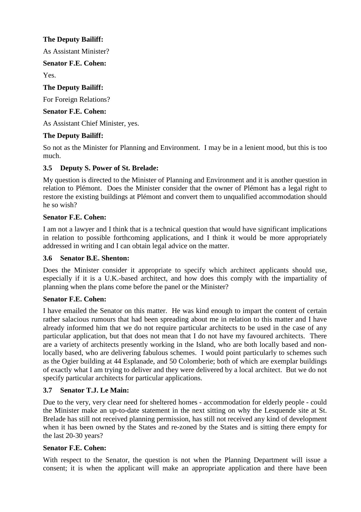## **The Deputy Bailiff:**

As Assistant Minister?

### **Senator F.E. Cohen:**

Yes.

## **The Deputy Bailiff:**

For Foreign Relations?

## **Senator F.E. Cohen:**

As Assistant Chief Minister, yes.

# **The Deputy Bailiff:**

So not as the Minister for Planning and Environment. I may be in a lenient mood, but this is too much.

# **3.5 Deputy S. Power of St. Brelade:**

My question is directed to the Minister of Planning and Environment and it is another question in relation to Plémont. Does the Minister consider that the owner of Plémont has a legal right to restore the existing buildings at Plémont and convert them to unqualified accommodation should he so wish?

# **Senator F.E. Cohen:**

I am not a lawyer and I think that is a technical question that would have significant implications in relation to possible forthcoming applications, and I think it would be more appropriately addressed in writing and I can obtain legal advice on the matter.

## **3.6 Senator B.E. Shenton:**

Does the Minister consider it appropriate to specify which architect applicants should use, especially if it is a U.K.-based architect, and how does this comply with the impartiality of planning when the plans come before the panel or the Minister?

## **Senator F.E. Cohen:**

I have emailed the Senator on this matter. He was kind enough to impart the content of certain rather salacious rumours that had been spreading about me in relation to this matter and I have already informed him that we do not require particular architects to be used in the case of any particular application, but that does not mean that I do not have my favoured architects. There are a variety of architects presently working in the Island, who are both locally based and nonlocally based, who are delivering fabulous schemes. I would point particularly to schemes such as the Ogier building at 44 Esplanade, and 50 Colomberie; both of which are exemplar buildings of exactly what I am trying to deliver and they were delivered by a local architect. But we do not specify particular architects for particular applications.

## **3.7 Senator T.J. Le Main:**

Due to the very, very clear need for sheltered homes - accommodation for elderly people - could the Minister make an up-to-date statement in the next sitting on why the Lesquende site at St. Brelade has still not received planning permission, has still not received any kind of development when it has been owned by the States and re-zoned by the States and is sitting there empty for the last 20-30 years?

## **Senator F.E. Cohen:**

With respect to the Senator, the question is not when the Planning Department will issue a consent; it is when the applicant will make an appropriate application and there have been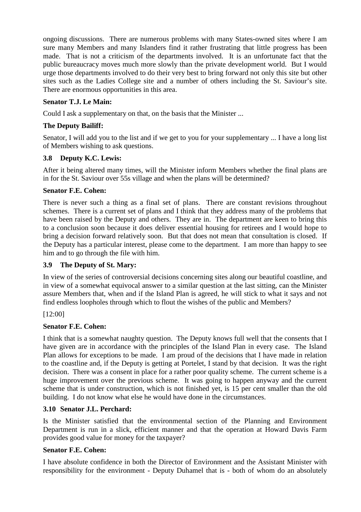ongoing discussions. There are numerous problems with many States-owned sites where I am sure many Members and many Islanders find it rather frustrating that little progress has been made. That is not a criticism of the departments involved. It is an unfortunate fact that the public bureaucracy moves much more slowly than the private development world. But I would urge those departments involved to do their very best to bring forward not only this site but other sites such as the Ladies College site and a number of others including the St. Saviour's site. There are enormous opportunities in this area.

### **Senator T.J. Le Main:**

Could I ask a supplementary on that, on the basis that the Minister ...

### **The Deputy Bailiff:**

Senator, I will add you to the list and if we get to you for your supplementary ... I have a long list of Members wishing to ask questions.

### **3.8 Deputy K.C. Lewis:**

After it being altered many times, will the Minister inform Members whether the final plans are in for the St. Saviour over 55s village and when the plans will be determined?

### **Senator F.E. Cohen:**

There is never such a thing as a final set of plans. There are constant revisions throughout schemes. There is a current set of plans and I think that they address many of the problems that have been raised by the Deputy and others. They are in. The department are keen to bring this to a conclusion soon because it does deliver essential housing for retirees and I would hope to bring a decision forward relatively soon. But that does not mean that consultation is closed. If the Deputy has a particular interest, please come to the department. I am more than happy to see him and to go through the file with him.

### **3.9 The Deputy of St. Mary:**

In view of the series of controversial decisions concerning sites along our beautiful coastline, and in view of a somewhat equivocal answer to a similar question at the last sitting, can the Minister assure Members that, when and if the Island Plan is agreed, he will stick to what it says and not find endless loopholes through which to flout the wishes of the public and Members?

### [12:00]

### **Senator F.E. Cohen:**

I think that is a somewhat naughty question. The Deputy knows full well that the consents that I have given are in accordance with the principles of the Island Plan in every case. The Island Plan allows for exceptions to be made. I am proud of the decisions that I have made in relation to the coastline and, if the Deputy is getting at Portelet, I stand by that decision. It was the right decision. There was a consent in place for a rather poor quality scheme. The current scheme is a huge improvement over the previous scheme. It was going to happen anyway and the current scheme that is under construction, which is not finished yet, is 15 per cent smaller than the old building. I do not know what else he would have done in the circumstances.

### **3.10 Senator J.L. Perchard:**

Is the Minister satisfied that the environmental section of the Planning and Environment Department is run in a slick, efficient manner and that the operation at Howard Davis Farm provides good value for money for the taxpayer?

### **Senator F.E. Cohen:**

I have absolute confidence in both the Director of Environment and the Assistant Minister with responsibility for the environment - Deputy Duhamel that is - both of whom do an absolutely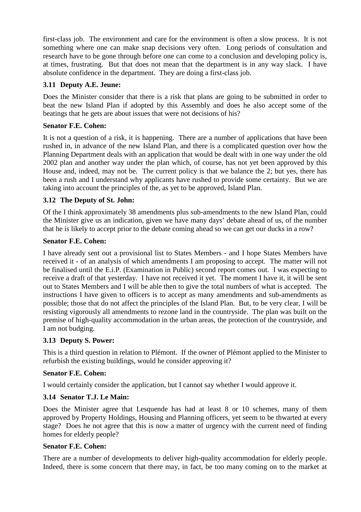first-class job. The environment and care for the environment is often a slow process. It is not something where one can make snap decisions very often. Long periods of consultation and research have to be gone through before one can come to a conclusion and developing policy is, at times, frustrating. But that does not mean that the department is in any way slack. I have absolute confidence in the department. They are doing a first-class job.

### **3.11 Deputy A.E. Jeune:**

Does the Minister consider that there is a risk that plans are going to be submitted in order to beat the new Island Plan if adopted by this Assembly and does he also accept some of the beatings that he gets are about issues that were not decisions of his?

### **Senator F.E. Cohen:**

It is not a question of a risk, it is happening. There are a number of applications that have been rushed in, in advance of the new Island Plan, and there is a complicated question over how the Planning Department deals with an application that would be dealt with in one way under the old 2002 plan and another way under the plan which, of course, has not yet been approved by this House and, indeed, may not be. The current policy is that we balance the 2; but yes, there has been a rush and I understand why applicants have rushed to provide some certainty. But we are taking into account the principles of the, as yet to be approved, Island Plan.

### **3.12 The Deputy of St. John:**

Of the I think approximately 38 amendments plus sub-amendments to the new Island Plan, could the Minister give us an indication, given we have many days' debate ahead of us, of the number that he is likely to accept prior to the debate coming ahead so we can get our ducks in a row?

### **Senator F.E. Cohen:**

I have already sent out a provisional list to States Members - and I hope States Members have received it - of an analysis of which amendments I am proposing to accept. The matter will not be finalised until the E.i.P. (Examination in Public) second report comes out. I was expecting to receive a draft of that yesterday. I have not received it yet. The moment I have it, it will be sent out to States Members and I will be able then to give the total numbers of what is accepted. The instructions I have given to officers is to accept as many amendments and sub-amendments as possible; those that do not affect the principles of the Island Plan. But, to be very clear, I will be resisting vigorously all amendments to rezone land in the countryside. The plan was built on the premise of high-quality accommodation in the urban areas, the protection of the countryside, and I am not budging.

### **3.13 Deputy S. Power:**

This is a third question in relation to Plémont. If the owner of Plémont applied to the Minister to refurbish the existing buildings, would he consider approving it?

### **Senator F.E. Cohen:**

I would certainly consider the application, but I cannot say whether I would approve it.

### **3.14 Senator T.J. Le Main:**

Does the Minister agree that Lesquende has had at least 8 or 10 schemes, many of them approved by Property Holdings, Housing and Planning officers, yet seem to be thwarted at every stage? Does he not agree that this is now a matter of urgency with the current need of finding homes for elderly people?

### **Senator F.E. Cohen:**

There are a number of developments to deliver high-quality accommodation for elderly people. Indeed, there is some concern that there may, in fact, be too many coming on to the market at